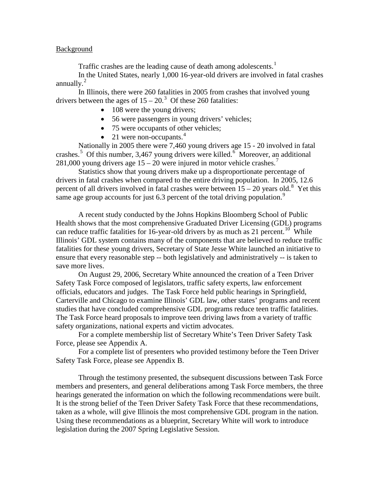### Background

Traffic crashes are the leading cause of death among adolescents.<sup>[1](#page-8-0)</sup>

In the United States, nearly 1,000 16-year-old drivers are involved in fatal crashes annually. $^{2}$  $^{2}$  $^{2}$ 

In Illinois, there were 260 fatalities in 2005 from crashes that involved young drivers between the ages of  $15 - 20$ .<sup>[3](#page-8-2)</sup> Of these 260 fatalities:

- 108 were the young drivers;
- 56 were passengers in young drivers' vehicles;
- 75 were occupants of other vehicles;
- 21 were non-occupants. $4$

Nationally in 2005 there were 7,460 young drivers age 15 - 20 involved in fatal crashes.<sup>[5](#page-8-4)</sup> Of this number, 3,4[6](#page-8-5)7 young drivers were killed.<sup>6</sup> Moreover, an additional 281,000 young drivers age  $15 - 20$  were injured in motor vehicle crashes.<sup>[7](#page-8-6)</sup>

Statistics show that young drivers make up a disproportionate percentage of drivers in fatal crashes when compared to the entire driving population. In 2005, 12.6 percent of all drivers involved in fatal crashes were between  $15 - 20$  years old.<sup>[8](#page-8-7)</sup> Yet this same age group accounts for just 6.3 percent of the total driving population.<sup>[9](#page-8-8)</sup>

A recent study conducted by the Johns Hopkins Bloomberg School of Public Health shows that the most comprehensive Graduated Driver Licensing (GDL) programs can reduce traffic fatalities for 16-year-old drivers by as much as 21 percent.<sup>[10](#page-8-9)</sup> While Illinois' GDL system contains many of the components that are believed to reduce traffic fatalities for these young drivers, Secretary of State Jesse White launched an initiative to ensure that every reasonable step -- both legislatively and administratively -- is taken to save more lives.

On August 29, 2006, Secretary White announced the creation of a Teen Driver Safety Task Force composed of legislators, traffic safety experts, law enforcement officials, educators and judges. The Task Force held public hearings in Springfield, Carterville and Chicago to examine Illinois' GDL law, other states' programs and recent studies that have concluded comprehensive GDL programs reduce teen traffic fatalities. The Task Force heard proposals to improve teen driving laws from a variety of traffic safety organizations, national experts and victim advocates.

For a complete membership list of Secretary White's Teen Driver Safety Task Force, please see Appendix A.

For a complete list of presenters who provided testimony before the Teen Driver Safety Task Force, please see Appendix B.

Through the testimony presented, the subsequent discussions between Task Force members and presenters, and general deliberations among Task Force members, the three hearings generated the information on which the following recommendations were built. It is the strong belief of the Teen Driver Safety Task Force that these recommendations, taken as a whole, will give Illinois the most comprehensive GDL program in the nation. Using these recommendations as a blueprint, Secretary White will work to introduce legislation during the 2007 Spring Legislative Session.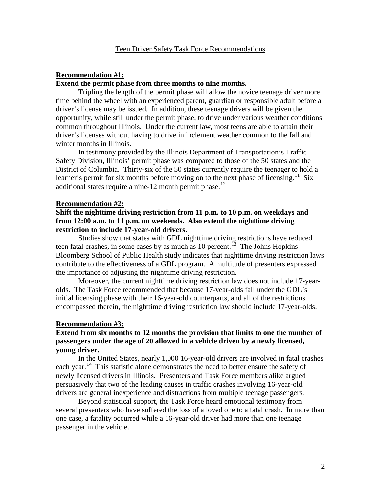# **Extend the permit phase from three months to nine months. Recommendation #1:**

Tripling the length of the permit phase will allow the novice teenage driver more time behind the wheel with an experienced parent, guardian or responsible adult before a driver's license may be issued. In addition, these teenage drivers will be given the opportunity, while still under the permit phase, to drive under various weather conditions common throughout Illinois. Under the current law, most teens are able to attain their driver's licenses without having to drive in inclement weather common to the fall and winter months in Illinois.

In testimony provided by the Illinois Department of Transportation's Traffic Safety Division, Illinois' permit phase was compared to those of the 50 states and the District of Columbia. Thirty-six of the 50 states currently require the teenager to hold a learner's permit for six months before moving on to the next phase of licensing.<sup>11</sup> Six additional states require a nine-[12](#page-8-11) month permit phase.<sup>12</sup>

#### **Recommendation #2:**

## **Shift the nighttime driving restriction from 11 p.m. to 10 p.m. on weekdays and from 12:00 a.m. to 11 p.m. on weekends. Also extend the nighttime driving restriction to include 17-year-old drivers.**

Studies show that states with GDL nighttime driving restrictions have reduced teen fatal crashes, in some cases by as much as  $10$  percent.<sup>[13](#page-8-12)</sup> The Johns Hopkins Bloomberg School of Public Health study indicates that nighttime driving restriction laws contribute to the effectiveness of a GDL program. A multitude of presenters expressed the importance of adjusting the nighttime driving restriction.

Moreover, the current nighttime driving restriction law does not include 17-yearolds. The Task Force recommended that because 17-year-olds fall under the GDL's initial licensing phase with their 16-year-old counterparts, and all of the restrictions encompassed therein, the nighttime driving restriction law should include 17-year-olds.

#### **Recommendation #3:**

## **Extend from six months to 12 months the provision that limits to one the number of passengers under the age of 20 allowed in a vehicle driven by a newly licensed, young driver.**

In the United States, nearly 1,000 16-year-old drivers are involved in fatal crashes each year.<sup>[14](#page-8-13)</sup> This statistic alone demonstrates the need to better ensure the safety of newly licensed drivers in Illinois. Presenters and Task Force members alike argued persuasively that two of the leading causes in traffic crashes involving 16-year-old drivers are general inexperience and distractions from multiple teenage passengers.

Beyond statistical support, the Task Force heard emotional testimony from several presenters who have suffered the loss of a loved one to a fatal crash. In more than one case, a fatality occurred while a 16-year-old driver had more than one teenage passenger in the vehicle.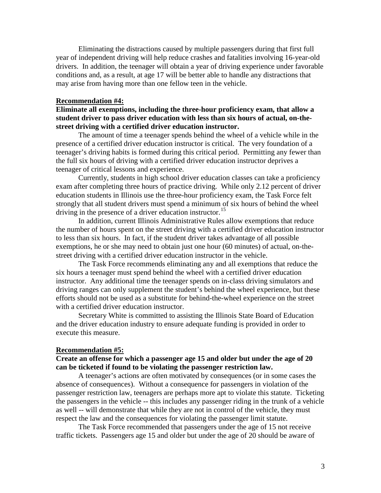Eliminating the distractions caused by multiple passengers during that first full year of independent driving will help reduce crashes and fatalities involving 16-year-old drivers. In addition, the teenager will obtain a year of driving experience under favorable conditions and, as a result, at age 17 will be better able to handle any distractions that may arise from having more than one fellow teen in the vehicle.

### **Recommendation #4:**

**Eliminate all exemptions, including the three-hour proficiency exam, that allow a student driver to pass driver education with less than six hours of actual, on-thestreet driving with a certified driver education instructor.**

The amount of time a teenager spends behind the wheel of a vehicle while in the presence of a certified driver education instructor is critical. The very foundation of a teenager's driving habits is formed during this critical period. Permitting any fewer than the full six hours of driving with a certified driver education instructor deprives a teenager of critical lessons and experience.

Currently, students in high school driver education classes can take a proficiency exam after completing three hours of practice driving. While only 2.12 percent of driver education students in Illinois use the three-hour proficiency exam, the Task Force felt strongly that all student drivers must spend a minimum of six hours of behind the wheel driving in the presence of a driver education instructor.<sup>[15](#page-8-14)</sup>

In addition, current Illinois Administrative Rules allow exemptions that reduce the number of hours spent on the street driving with a certified driver education instructor to less than six hours. In fact, if the student driver takes advantage of all possible exemptions, he or she may need to obtain just one hour (60 minutes) of actual, on-thestreet driving with a certified driver education instructor in the vehicle.

The Task Force recommends eliminating any and all exemptions that reduce the six hours a teenager must spend behind the wheel with a certified driver education instructor. Any additional time the teenager spends on in-class driving simulators and driving ranges can only supplement the student's behind the wheel experience, but these efforts should not be used as a substitute for behind-the-wheel experience on the street with a certified driver education instructor.

Secretary White is committed to assisting the Illinois State Board of Education and the driver education industry to ensure adequate funding is provided in order to execute this measure.

### **Recommendation #5:**

## **Create an offense for which a passenger age 15 and older but under the age of 20 can be ticketed if found to be violating the passenger restriction law.**

A teenager's actions are often motivated by consequences (or in some cases the absence of consequences). Without a consequence for passengers in violation of the passenger restriction law, teenagers are perhaps more apt to violate this statute. Ticketing the passengers in the vehicle -- this includes any passenger riding in the trunk of a vehicle as well -- will demonstrate that while they are not in control of the vehicle, they must respect the law and the consequences for violating the passenger limit statute.

The Task Force recommended that passengers under the age of 15 not receive traffic tickets. Passengers age 15 and older but under the age of 20 should be aware of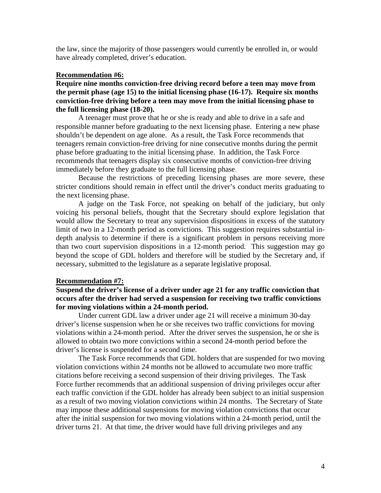the law, since the majority of those passengers would currently be enrolled in, or would have already completed, driver's education.

### **Recommendation #6:**

**Require nine months conviction-free driving record before a teen may move from the permit phase (age 15) to the initial licensing phase (16-17). Require six months conviction-free driving before a teen may move from the initial licensing phase to the full licensing phase (18-20).** 

A teenager must prove that he or she is ready and able to drive in a safe and responsible manner before graduating to the next licensing phase. Entering a new phase shouldn't be dependent on age alone. As a result, the Task Force recommends that teenagers remain conviction-free driving for nine consecutive months during the permit phase before graduating to the initial licensing phase. In addition, the Task Force recommends that teenagers display six consecutive months of conviction-free driving immediately before they graduate to the full licensing phase.

Because the restrictions of preceding licensing phases are more severe, these stricter conditions should remain in effect until the driver's conduct merits graduating to the next licensing phase.

A judge on the Task Force, not speaking on behalf of the judiciary, but only voicing his personal beliefs, thought that the Secretary should explore legislation that would allow the Secretary to treat any supervision dispositions in excess of the statutory limit of two in a 12-month period as convictions. This suggestion requires substantial indepth analysis to determine if there is a significant problem in persons receiving more than two court supervision dispositions in a 12-month period. This suggestion may go beyond the scope of GDL holders and therefore will be studied by the Secretary and, if necessary, submitted to the legislature as a separate legislative proposal.

#### **Recommendation #7:**

## **Suspend the driver's license of a driver under age 21 for any traffic conviction that occurs after the driver had served a suspension for receiving two traffic convictions for moving violations within a 24-month period.**

Under current GDL law a driver under age 21 will receive a minimum 30-day driver's license suspension when he or she receives two traffic convictions for moving violations within a 24-month period. After the driver serves the suspension, he or she is allowed to obtain two more convictions within a second 24-month period before the driver's license is suspended for a second time.

The Task Force recommends that GDL holders that are suspended for two moving violation convictions within 24 months not be allowed to accumulate two more traffic citations before receiving a second suspension of their driving privileges. The Task Force further recommends that an additional suspension of driving privileges occur after each traffic conviction if the GDL holder has already been subject to an initial suspension as a result of two moving violation convictions within 24 months. The Secretary of State may impose these additional suspensions for moving violation convictions that occur after the initial suspension for two moving violations within a 24-month period, until the driver turns 21. At that time, the driver would have full driving privileges and any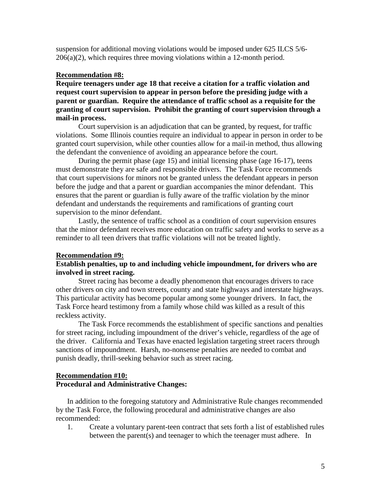suspension for additional moving violations would be imposed under 625 ILCS 5/6-  $206(a)(2)$ , which requires three moving violations within a 12-month period.

### **Recommendation #8:**

**Require teenagers under age 18 that receive a citation for a traffic violation and request court supervision to appear in person before the presiding judge with a parent or guardian. Require the attendance of traffic school as a requisite for the granting of court supervision. Prohibit the granting of court supervision through a mail-in process.** 

Court supervision is an adjudication that can be granted, by request, for traffic violations. Some Illinois counties require an individual to appear in person in order to be granted court supervision, while other counties allow for a mail-in method, thus allowing the defendant the convenience of avoiding an appearance before the court.

During the permit phase (age 15) and initial licensing phase (age 16-17), teens must demonstrate they are safe and responsible drivers. The Task Force recommends that court supervisions for minors not be granted unless the defendant appears in person before the judge and that a parent or guardian accompanies the minor defendant. This ensures that the parent or guardian is fully aware of the traffic violation by the minor defendant and understands the requirements and ramifications of granting court supervision to the minor defendant.

Lastly, the sentence of traffic school as a condition of court supervision ensures that the minor defendant receives more education on traffic safety and works to serve as a reminder to all teen drivers that traffic violations will not be treated lightly.

#### **Recommendation #9:**

## **Establish penalties, up to and including vehicle impoundment, for drivers who are involved in street racing.**

Street racing has become a deadly phenomenon that encourages drivers to race other drivers on city and town streets, county and state highways and interstate highways. This particular activity has become popular among some younger drivers. In fact, the Task Force heard testimony from a family whose child was killed as a result of this reckless activity.

The Task Force recommends the establishment of specific sanctions and penalties for street racing, including impoundment of the driver's vehicle, regardless of the age of the driver. California and Texas have enacted legislation targeting street racers through sanctions of impoundment. Harsh, no-nonsense penalties are needed to combat and punish deadly, thrill-seeking behavior such as street racing.

### **Procedural and Administrative Changes: Recommendation #10:**

In addition to the foregoing statutory and Administrative Rule changes recommended by the Task Force, the following procedural and administrative changes are also recommended:

1. Create a voluntary parent-teen contract that sets forth a list of established rules between the parent(s) and teenager to which the teenager must adhere. In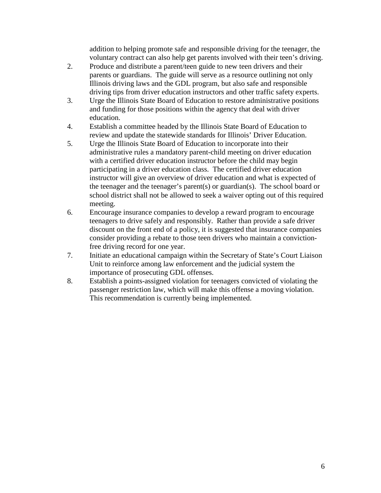addition to helping promote safe and responsible driving for the teenager, the voluntary contract can also help get parents involved with their teen's driving.

- 2. Produce and distribute a parent/teen guide to new teen drivers and their parents or guardians. The guide will serve as a resource outlining not only Illinois driving laws and the GDL program, but also safe and responsible driving tips from driver education instructors and other traffic safety experts.
- 3. Urge the Illinois State Board of Education to restore administrative positions and funding for those positions within the agency that deal with driver education.
- 4. Establish a committee headed by the Illinois State Board of Education to review and update the statewide standards for Illinois' Driver Education.
- 5. Urge the Illinois State Board of Education to incorporate into their administrative rules a mandatory parent-child meeting on driver education with a certified driver education instructor before the child may begin participating in a driver education class. The certified driver education instructor will give an overview of driver education and what is expected of the teenager and the teenager's parent(s) or guardian(s). The school board or school district shall not be allowed to seek a waiver opting out of this required meeting.
- 6. Encourage insurance companies to develop a reward program to encourage teenagers to drive safely and responsibly. Rather than provide a safe driver discount on the front end of a policy, it is suggested that insurance companies consider providing a rebate to those teen drivers who maintain a convictionfree driving record for one year.
- 7. Initiate an educational campaign within the Secretary of State's Court Liaison Unit to reinforce among law enforcement and the judicial system the importance of prosecuting GDL offenses.
- 8. Establish a points-assigned violation for teenagers convicted of violating the passenger restriction law, which will make this offense a moving violation. This recommendation is currently being implemented.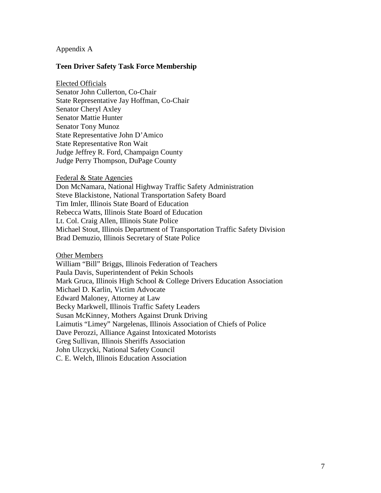## Appendix A

## **Teen Driver Safety Task Force Membership**

Senator John Cullerton, Co-Chair Elected Officials State Representative Jay Hoffman, Co-Chair Senator Cheryl Axley Senator Mattie Hunter Senator Tony Munoz State Representative John D'Amico State Representative Ron Wait Judge Jeffrey R. Ford, Champaign County Judge Perry Thompson, DuPage County

### Federal & State Agencies

Don McNamara, National Highway Traffic Safety Administration Steve Blackistone, National Transportation Safety Board Tim Imler, Illinois State Board of Education Rebecca Watts, Illinois State Board of Education Lt. Col. Craig Allen, Illinois State Police Michael Stout, Illinois Department of Transportation Traffic Safety Division Brad Demuzio, Illinois Secretary of State Police

Other Members

William "Bill" Briggs, Illinois Federation of Teachers Paula Davis, Superintendent of Pekin Schools Mark Gruca, Illinois High School & College Drivers Education Association Michael D. Karlin, Victim Advocate Edward Maloney, Attorney at Law Becky Markwell, Illinois Traffic Safety Leaders Susan McKinney, Mothers Against Drunk Driving Laimutis "Limey" Nargelenas, Illinois Association of Chiefs of Police Dave Perozzi, Alliance Against Intoxicated Motorists Greg Sullivan, Illinois Sheriffs Association John Ulczycki, National Safety Council C. E. Welch, Illinois Education Association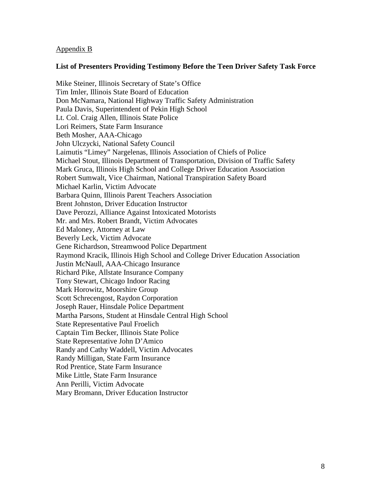## Appendix B

## **List of Presenters Providing Testimony Before the Teen Driver Safety Task Force**

Mike Steiner, Illinois Secretary of State's Office Tim Imler, Illinois State Board of Education Don McNamara, National Highway Traffic Safety Administration Paula Davis, Superintendent of Pekin High School Lt. Col. Craig Allen, Illinois State Police Lori Reimers, State Farm Insurance Beth Mosher, AAA-Chicago John Ulczycki, National Safety Council Laimutis "Limey" Nargelenas, Illinois Association of Chiefs of Police Michael Stout, Illinois Department of Transportation, Division of Traffic Safety Mark Gruca, Illinois High School and College Driver Education Association Robert Sumwalt, Vice Chairman, National Transpiration Safety Board Michael Karlin, Victim Advocate Barbara Quinn, Illinois Parent Teachers Association Brent Johnston, Driver Education Instructor Dave Perozzi, Alliance Against Intoxicated Motorists Mr. and Mrs. Robert Brandt, Victim Advocates Ed Maloney, Attorney at Law Beverly Leck, Victim Advocate Gene Richardson, Streamwood Police Department Raymond Kracik, Illinois High School and College Driver Education Association Justin McNaull, AAA-Chicago Insurance Richard Pike, Allstate Insurance Company Tony Stewart, Chicago Indoor Racing Mark Horowitz, Moorshire Group Scott Schrecengost, Raydon Corporation Joseph Rauer, Hinsdale Police Department Martha Parsons, Student at Hinsdale Central High School State Representative Paul Froelich Captain Tim Becker, Illinois State Police State Representative John D'Amico Randy and Cathy Waddell, Victim Advocates Randy Milligan, State Farm Insurance Rod Prentice, State Farm Insurance Mike Little, State Farm Insurance Ann Perilli, Victim Advocate Mary Bromann, Driver Education Instructor